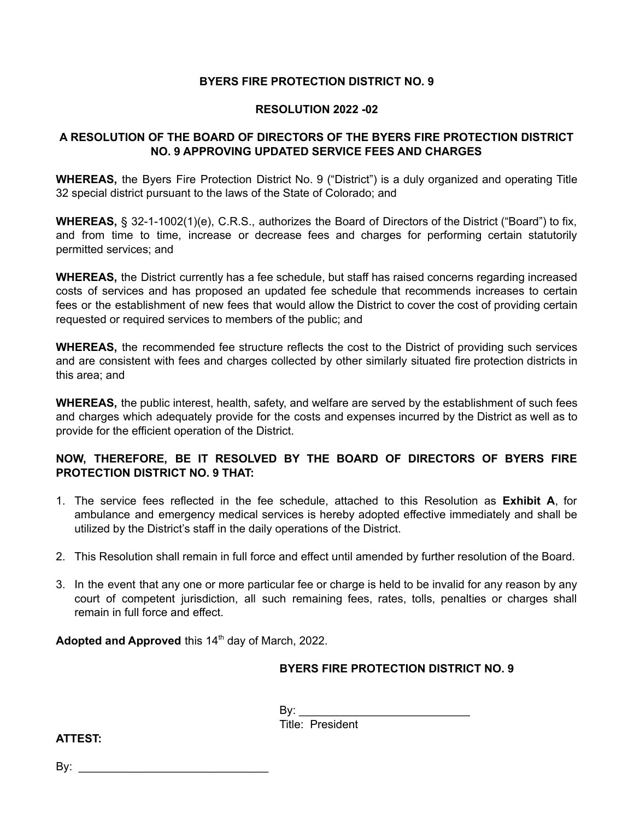## **BYERS FIRE PROTECTION DISTRICT NO. 9**

#### **RESOLUTION 2022 -02**

# **A RESOLUTION OF THE BOARD OF DIRECTORS OF THE BYERS FIRE PROTECTION DISTRICT NO. 9 APPROVING UPDATED SERVICE FEES AND CHARGES**

**WHEREAS,** the Byers Fire Protection District No. 9 ("District") is a duly organized and operating Title 32 special district pursuant to the laws of the State of Colorado; and

**WHEREAS,** § 32-1-1002(1)(e), C.R.S., authorizes the Board of Directors of the District ("Board") to fix, and from time to time, increase or decrease fees and charges for performing certain statutorily permitted services; and

**WHEREAS,** the District currently has a fee schedule, but staff has raised concerns regarding increased costs of services and has proposed an updated fee schedule that recommends increases to certain fees or the establishment of new fees that would allow the District to cover the cost of providing certain requested or required services to members of the public; and

**WHEREAS,** the recommended fee structure reflects the cost to the District of providing such services and are consistent with fees and charges collected by other similarly situated fire protection districts in this area; and

**WHEREAS,** the public interest, health, safety, and welfare are served by the establishment of such fees and charges which adequately provide for the costs and expenses incurred by the District as well as to provide for the efficient operation of the District.

# **NOW, THEREFORE, BE IT RESOLVED BY THE BOARD OF DIRECTORS OF BYERS FIRE PROTECTION DISTRICT NO. 9 THAT:**

- 1. The service fees reflected in the fee schedule, attached to this Resolution as **Exhibit A**, for ambulance and emergency medical services is hereby adopted effective immediately and shall be utilized by the District's staff in the daily operations of the District.
- 2. This Resolution shall remain in full force and effect until amended by further resolution of the Board.
- 3. In the event that any one or more particular fee or charge is held to be invalid for any reason by any court of competent jurisdiction, all such remaining fees, rates, tolls, penalties or charges shall remain in full force and effect.

**Adopted and Approved** this 14 th day of March, 2022.

# **BYERS FIRE PROTECTION DISTRICT NO. 9**

By: \_\_\_\_\_\_\_\_\_\_\_\_\_\_\_\_\_\_\_\_\_\_\_\_\_\_\_ Title: President

**ATTEST:**

By: \_\_\_\_\_\_\_\_\_\_\_\_\_\_\_\_\_\_\_\_\_\_\_\_\_\_\_\_\_\_